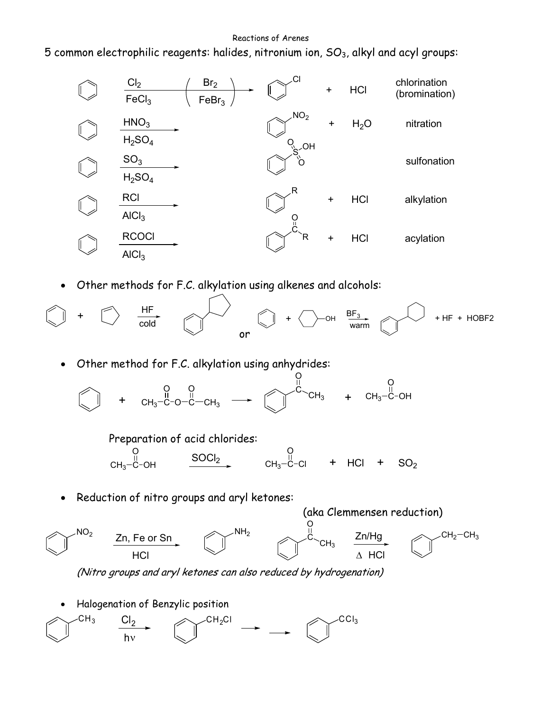## Reactions of Arenes

5 common electrophilic reagents: halides, nitronium ion,  $SO<sub>3</sub>$ , alkyl and acyl groups:



• Other methods for F.C. alkylation using alkenes and alcohols:



• Other method for F.C. alkylation using anhydrides:

+  $CH_3-\overset{\shortmid}{C}$ O O C O  $CH_3$  +  $CH_3$ -C O + OH <sup>C</sup> O  $\mathsf{CH}_3$ 

Preparation of acid chlorides:

СН $_{3}$ —С O  $CH_3-C-OH$   $\xrightarrow{SOCl_2}$   $CH_3-C-CI$  + HCl + SO<sub>2</sub> O OH

• Reduction of nitro groups and aryl ketones:

(aka Clemmensen reduction)



(Nitro groups and aryl ketones can also reduced by hydrogenation)

• Halogenation of Benzylic position